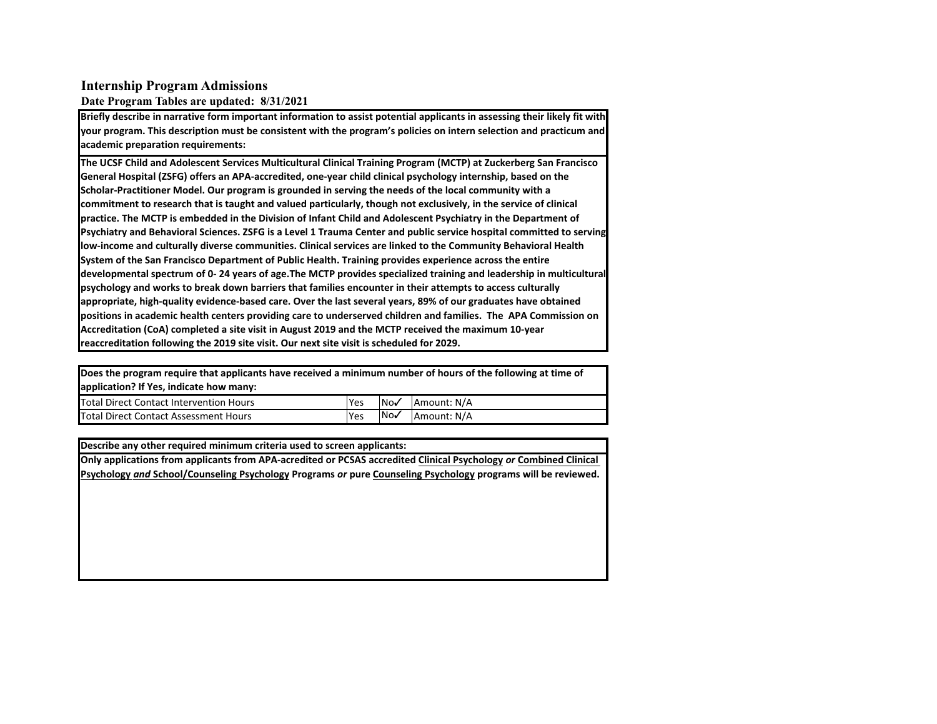### **Internship Program Admissions**

#### **Date Program Tables are updated: 8/31/2021**

Briefly describe in narrative form important information to assist potential applicants in assessing their likely fit with **your program. This description must be consistent with the program's policies on intern selection and practicum and academic preparation requirements:**

The UCSF Child and Adolescent Services Multicultural Clinical Training Program (MCTP) at Zuckerberg San Francisco General Hospital (ZSFG) offers an APA-accredited, one-year child clinical psychology internship, based on the **Scholar-Practitioner Model. Our program is grounded in serving the needs of the local community with a** commitment to research that is taught and valued particularly, though not exclusively, in the service of clinical practice. The MCTP is embedded in the Division of Infant Child and Adolescent Psychiatry in the Department of Psychiatry and Behavioral Sciences. ZSFG is a Level 1 Trauma Center and public service hospital committed to serving low-income and culturally diverse communities. Clinical services are linked to the Community Behavioral Health **System of the San Francisco Department of Public Health. Training provides experience across the entire** developmental spectrum of 0-24 years of age.The MCTP provides specialized training and leadership in multicultural **psychology** and works to break down barriers that families encounter in their attempts to access culturally appropriate, high-quality evidence-based care. Over the last several years, 89% of our graduates have obtained positions in academic health centers providing care to underserved children and families. The APA Commission on Accreditation (CoA) completed a site visit in August 2019 and the MCTP received the maximum 10-year **reaccreditation following the 2019 site visit. Our next site visit is scheduled for 2029.** 

Does the program require that applicants have received a minimum number of hours of the following at time of application? If Yes, indicate how many:

| Total Direct Contact Intervention Hours | Yes | lNo√ | <b>IAmount: N/A</b> |
|-----------------------------------------|-----|------|---------------------|
| Total Direct Contact Assessment Hours   | Yes | INov | <b>IAmount: N/A</b> |

#### **Describe any other required minimum criteria used to screen applicants:**

**Only applications from applicants from APA-acredited or PCSAS accredited Clinical Psychology or Combined Clinical** Psychology and School/Counseling Psychology Programs or pure Counseling Psychology programs will be reviewed.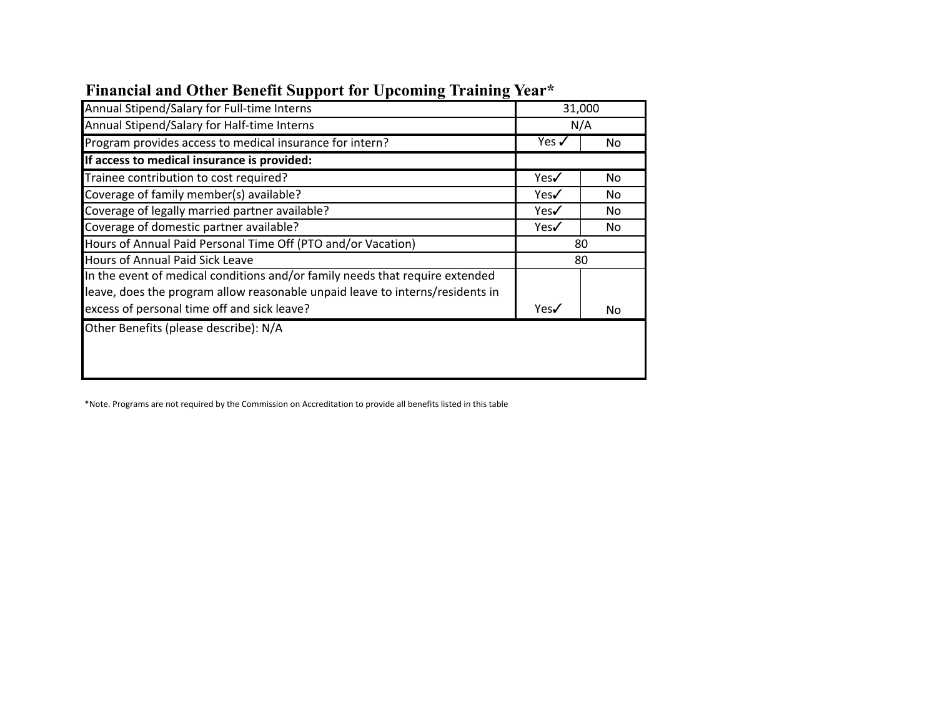| $\overline{\phantom{a}}$<br>$\overline{\phantom{a}}$                          |                  |     |
|-------------------------------------------------------------------------------|------------------|-----|
| Annual Stipend/Salary for Full-time Interns                                   | 31,000           |     |
| Annual Stipend/Salary for Half-time Interns                                   | N/A              |     |
| Program provides access to medical insurance for intern?                      | Yes $\checkmark$ | No. |
| If access to medical insurance is provided:                                   |                  |     |
| Trainee contribution to cost required?                                        | Yes√             | No  |
| Coverage of family member(s) available?                                       | Yes√             | No. |
| Coverage of legally married partner available?                                | Yes√             | No  |
| Coverage of domestic partner available?                                       | Yes√             | No  |
| Hours of Annual Paid Personal Time Off (PTO and/or Vacation)                  | 80               |     |
| Hours of Annual Paid Sick Leave                                               | 80               |     |
| In the event of medical conditions and/or family needs that require extended  |                  |     |
| leave, does the program allow reasonable unpaid leave to interns/residents in |                  |     |
| excess of personal time off and sick leave?                                   | Yes√             | No  |
| Other Benefits (please describe): N/A                                         |                  |     |
|                                                                               |                  |     |
|                                                                               |                  |     |
|                                                                               |                  |     |

# **Financial and Other Benefit Support for Upcoming Training Year\***

\*Note. Programs are not required by the Commission on Accreditation to provide all benefits listed in this table